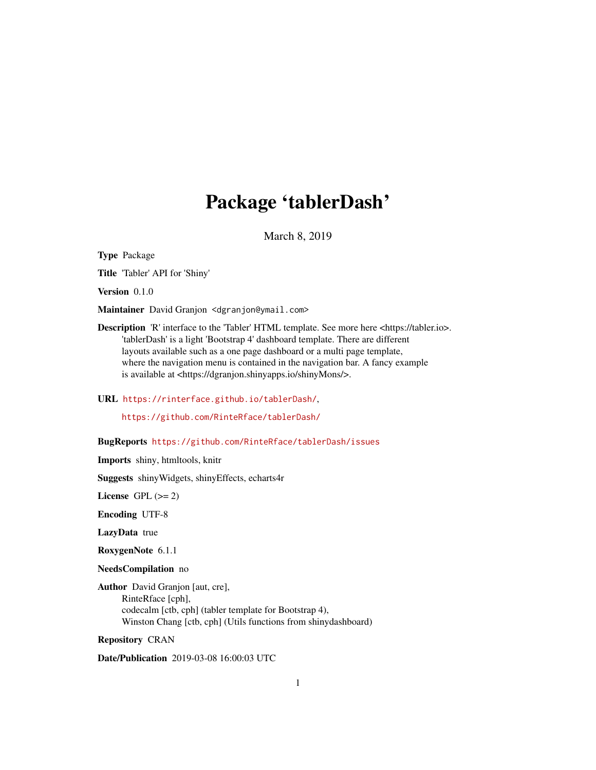# Package 'tablerDash'

March 8, 2019

Type Package

Title 'Tabler' API for 'Shiny'

Version 0.1.0

Maintainer David Granjon <dgranjon@ymail.com>

Description 'R' interface to the 'Tabler' HTML template. See more here <https://tabler.io>. 'tablerDash' is a light 'Bootstrap 4' dashboard template. There are different layouts available such as a one page dashboard or a multi page template, where the navigation menu is contained in the navigation bar. A fancy example is available at <https://dgranjon.shinyapps.io/shinyMons/>.

URL <https://rinterface.github.io/tablerDash/>,

<https://github.com/RinteRface/tablerDash/>

BugReports <https://github.com/RinteRface/tablerDash/issues>

Imports shiny, htmltools, knitr

Suggests shinyWidgets, shinyEffects, echarts4r

License GPL  $(>= 2)$ 

Encoding UTF-8

LazyData true

RoxygenNote 6.1.1

NeedsCompilation no

Author David Granjon [aut, cre], RinteRface [cph], codecalm [ctb, cph] (tabler template for Bootstrap 4), Winston Chang [ctb, cph] (Utils functions from shinydashboard)

Repository CRAN

Date/Publication 2019-03-08 16:00:03 UTC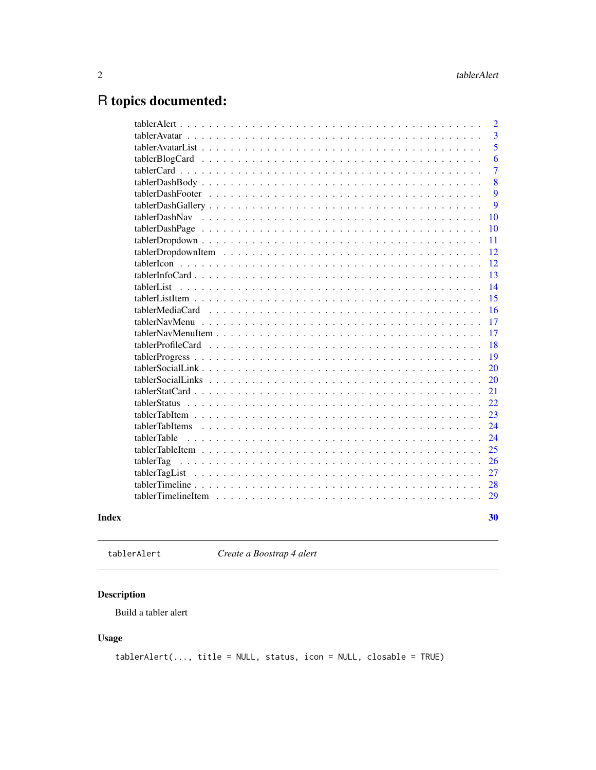## <span id="page-1-0"></span>R topics documented:

|       |                                                                                                                       | $\overline{2}$ |
|-------|-----------------------------------------------------------------------------------------------------------------------|----------------|
|       |                                                                                                                       | 3              |
|       |                                                                                                                       | 5              |
|       |                                                                                                                       | 6              |
|       |                                                                                                                       | 7              |
|       | $tablePashBody \dots \dots \dots \dots \dots \dots \dots \dots \dots \dots \dots \dots \dots \dots \dots \dots$       | 8              |
|       |                                                                                                                       | 9              |
|       |                                                                                                                       | 9              |
|       |                                                                                                                       | 10             |
|       |                                                                                                                       | 10             |
|       | $tablePropdown \dots \dots \dots \dots \dots \dots \dots \dots \dots \dots \dots \dots \dots \dots \dots \dots \dots$ | 11             |
|       |                                                                                                                       | 12             |
|       |                                                                                                                       | 12             |
|       |                                                                                                                       | 13             |
|       | tablerList                                                                                                            | 14             |
|       |                                                                                                                       | 15             |
|       | tablerMediaCard                                                                                                       | 16             |
|       |                                                                                                                       | 17             |
|       |                                                                                                                       | 17             |
|       |                                                                                                                       | 18             |
|       |                                                                                                                       | 19             |
|       |                                                                                                                       | 20             |
|       |                                                                                                                       | 20             |
|       |                                                                                                                       | 21             |
|       | tablerStatus                                                                                                          | 22             |
|       | tablerTabItem                                                                                                         | 23             |
|       | tablerTabItems                                                                                                        | 24             |
|       | tablerTable                                                                                                           | 24             |
|       |                                                                                                                       | 25             |
|       | tablerTag                                                                                                             | 26             |
|       | tablerTagList                                                                                                         | 27             |
|       |                                                                                                                       | 28             |
|       |                                                                                                                       | 29             |
| Index |                                                                                                                       | 30             |

tablerAlert *Create a Boostrap 4 alert*

### Description

Build a tabler alert

### Usage

tablerAlert(..., title = NULL, status, icon = NULL, closable = TRUE)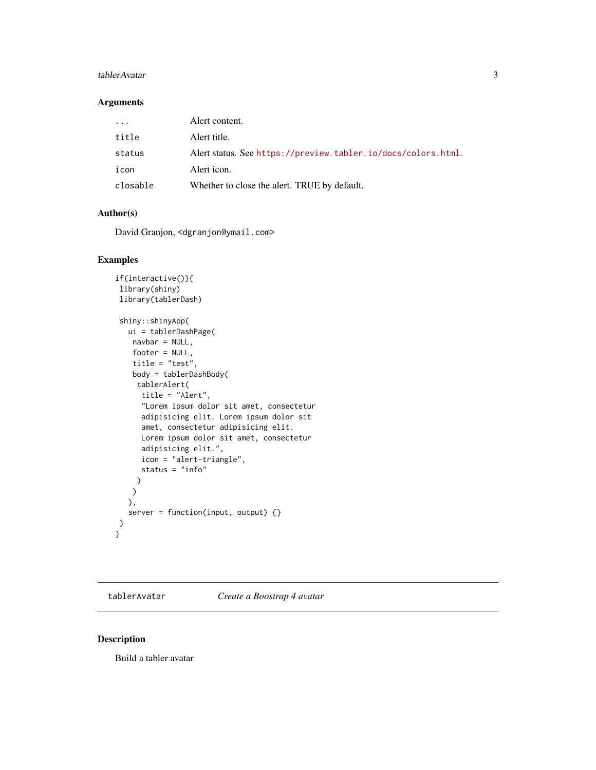#### <span id="page-2-0"></span>tablerAvatar 3

#### Arguments

| $\cdot$ $\cdot$ $\cdot$ | Alert content.                                                |
|-------------------------|---------------------------------------------------------------|
| title                   | Alert title.                                                  |
| status                  | Alert status. See https://preview.tabler.io/docs/colors.html. |
| icon                    | Alert icon.                                                   |
| closable                | Whether to close the alert. TRUE by default.                  |

#### Author(s)

David Granjon, <dgranjon@ymail.com>

#### Examples

```
if(interactive()){
library(shiny)
library(tablerDash)
shiny::shinyApp(
  ui = tablerDashPage(
   navbar = NULL,footer = NULL,
   title = "test",
   body = tablerDashBody(
    tablerAlert(
     title = "Alert",
     "Lorem ipsum dolor sit amet, consectetur
     adipisicing elit. Lorem ipsum dolor sit
     amet, consectetur adipisicing elit.
     Lorem ipsum dolor sit amet, consectetur
     adipisicing elit.",
     icon = "alert-triangle",
     status = "info"
    )
   \, \,),
  server = function(input, output) {}
)
}
```
<span id="page-2-1"></span>tablerAvatar *Create a Boostrap 4 avatar*

#### Description

Build a tabler avatar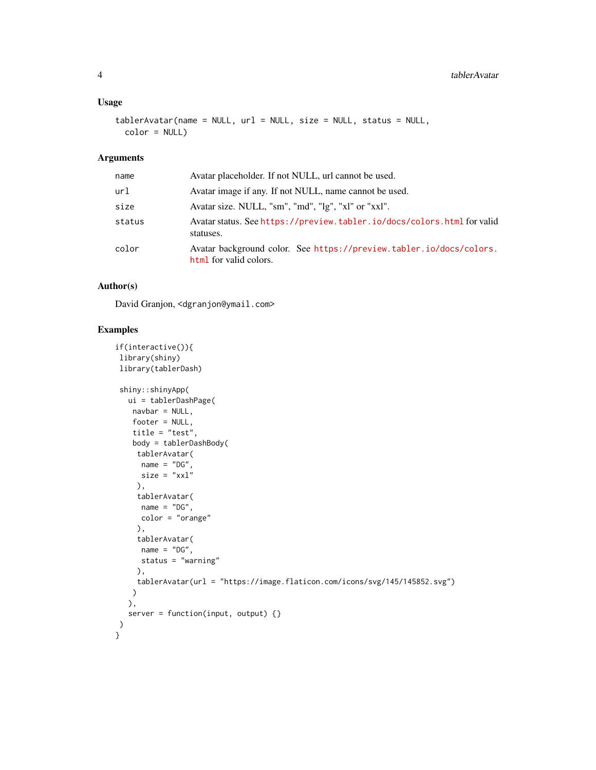#### Usage

```
tablerAvatar(name = NULL, url = NULL, size = NULL, status = NULL,
 color = NULL)
```
#### Arguments

| name   | Avatar placeholder. If not NULL, url cannot be used.                                          |
|--------|-----------------------------------------------------------------------------------------------|
| url    | Avatar image if any. If not NULL, name cannot be used.                                        |
| size   | Avatar size. NULL, "sm", "md", "lg", "xl" or "xxl".                                           |
| status | Avatar status. See https://preview.tabler.io/docs/colors.html for valid<br>statuses.          |
| color  | Avatar background color. See https://preview.tabler.io/docs/colors.<br>html for valid colors. |

#### Author(s)

David Granjon, <dgranjon@ymail.com>

```
if(interactive()){
library(shiny)
library(tablerDash)
shiny::shinyApp(
  ui = tablerDashPage(
   navbar = NULL,footer = NULL,
   title = "test",
   body = tablerDashBody(
    tablerAvatar(
     name = "DG",
     size = "xx1"),
    tablerAvatar(
     name = "DG",color = "orange"
    ),
     tablerAvatar(
     name = "DG",status = "warning"
    ),
    tablerAvatar(url = "https://image.flaticon.com/icons/svg/145/145852.svg")
   )
  ),
  server = function(input, output) \{\})
}
```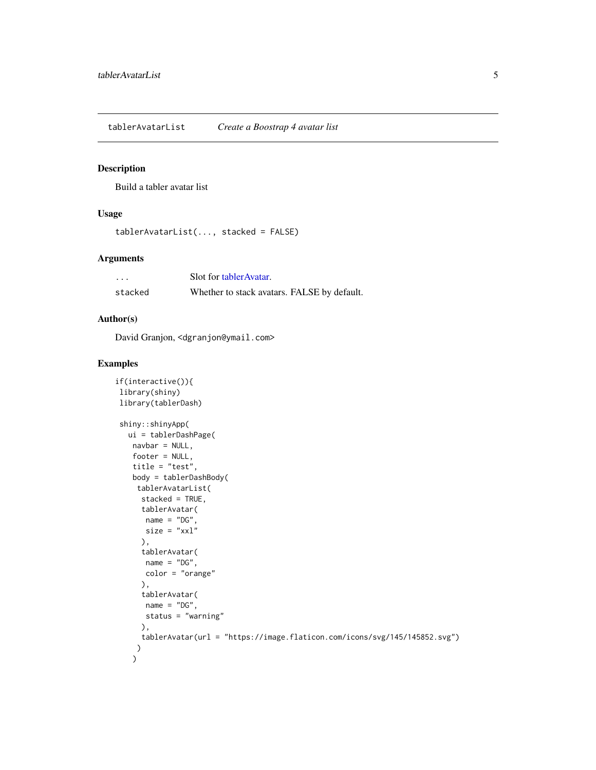<span id="page-4-0"></span>tablerAvatarList *Create a Boostrap 4 avatar list*

#### Description

Build a tabler avatar list

#### Usage

```
tablerAvatarList(..., stacked = FALSE)
```
#### Arguments

| .       | Solt for tabler Avatar.                     |
|---------|---------------------------------------------|
| stacked | Whether to stack avatars. FALSE by default. |

#### Author(s)

David Granjon, <dgranjon@ymail.com>

```
if(interactive()){
library(shiny)
library(tablerDash)
shiny::shinyApp(
  ui = tablerDashPage(
   navbar = NULL,footer = NULL,
   title = "test",
   body = tablerDashBody(
    tablerAvatarList(
     stacked = TRUE,
     tablerAvatar(
      name = "DG",size = "xx1"),
     tablerAvatar(
      name = "DG",color = "orange"
     ),
     tablerAvatar(
      name = "DG",status = "warning"
     ),
     tablerAvatar(url = "https://image.flaticon.com/icons/svg/145/145852.svg")
    )
   )
```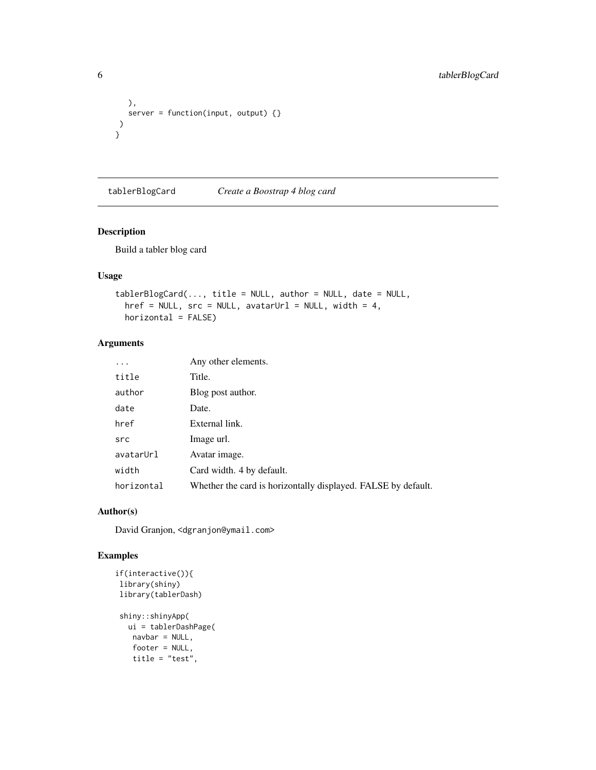```
),
  server = function(input, output) {}
)
}
```
tablerBlogCard *Create a Boostrap 4 blog card*

#### Description

Build a tabler blog card

#### Usage

```
tablerBlogCard(..., title = NULL, author = NULL, date = NULL,href = NULL, src = NULL, avatarurl = NULL, width = 4,horizontal = FALSE)
```
#### Arguments

| .          | Any other elements.                                           |
|------------|---------------------------------------------------------------|
| title      | Title.                                                        |
| author     | Blog post author.                                             |
| date       | Date.                                                         |
| href       | External link.                                                |
| src        | Image url.                                                    |
| avatarUrl  | Avatar image.                                                 |
| width      | Card width. 4 by default.                                     |
| horizontal | Whether the card is horizontally displayed. FALSE by default. |

#### Author(s)

David Granjon, <dgranjon@ymail.com>

```
if(interactive()){
library(shiny)
library(tablerDash)
shiny::shinyApp(
  ui = tablerDashPage(
   navbar = NULL,
   footer = NULL,
   title = "test",
```
<span id="page-5-0"></span>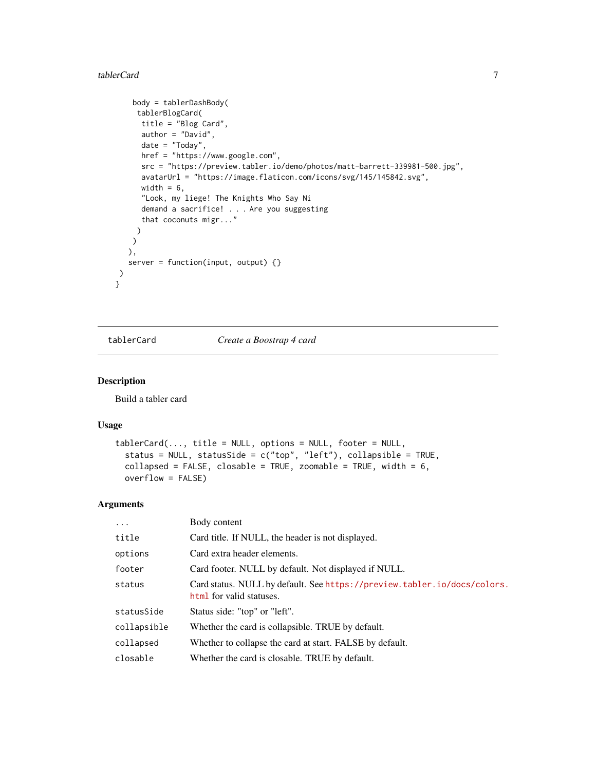#### <span id="page-6-0"></span>tablerCard 7 and 7 and 7 and 7 and 7 and 7 and 7 and 7 and 7 and 7 and 7 and 7 and 7 and 7 and 7 and 7 and 7 and 7 and 7 and 7 and 7 and 7 and 7 and 7 and 7 and 7 and 7 and 7 and 7 and 7 and 7 and 7 and 7 and 7 and 7 and 7

```
body = tablerDashBody(
    tablerBlogCard(
     title = "Blog Card",
     author = "David",
     date = "Today",
     href = "https://www.google.com",
     src = "https://preview.tabler.io/demo/photos/matt-barrett-339981-500.jpg",
     avatarUrl = "https://image.flaticon.com/icons/svg/145/145842.svg",
     width = 6,
     "Look, my liege! The Knights Who Say Ni
     demand a sacrifice! . . . Are you suggesting
     that coconuts migr..."
    )
   )
  ),
  server = function(input, output) {}
)
```
tablerCard *Create a Boostrap 4 card*

#### Description

}

Build a tabler card

#### Usage

```
tableCard(..., title = NULL, options = NULL, footer = NULL,status = NULL, statusSide = c("top", "left"), collapsible = TRUE,
 collapsed = FALSE, closable = TRUE, zoomable = TRUE, width = 6,
 overflow = FALSE)
```
#### Arguments

| $\cdots$    | Body content                                                                                         |
|-------------|------------------------------------------------------------------------------------------------------|
| title       | Card title. If NULL, the header is not displayed.                                                    |
| options     | Card extra header elements.                                                                          |
| footer      | Card footer. NULL by default. Not displayed if NULL.                                                 |
| status      | Card status. NULL by default. See https://preview.tabler.io/docs/colors.<br>html for valid statuses. |
| statusSide  | Status side: "top" or "left".                                                                        |
| collapsible | Whether the card is collapsible. TRUE by default.                                                    |
| collapsed   | Whether to collapse the card at start. FALSE by default.                                             |
| closable    | Whether the card is closable. TRUE by default.                                                       |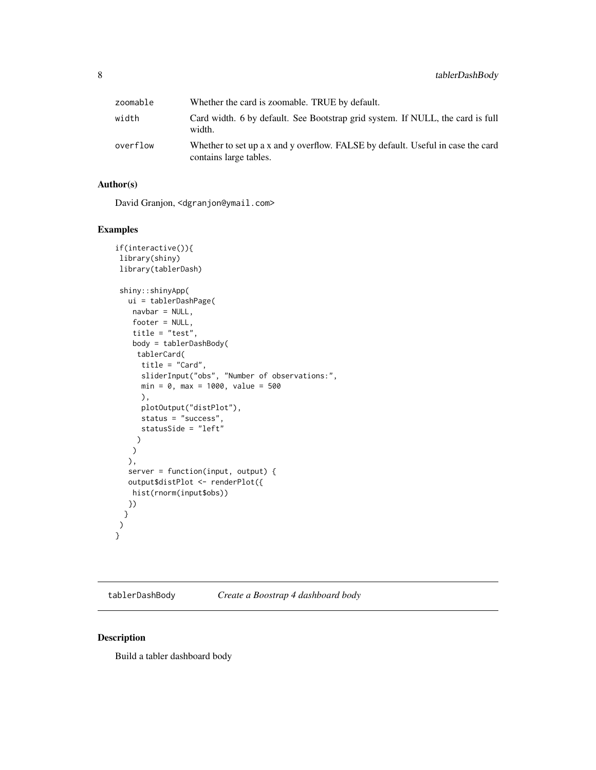<span id="page-7-0"></span>

| zoomable | Whether the card is zoomable. TRUE by default.                                                            |
|----------|-----------------------------------------------------------------------------------------------------------|
| width    | Card width. 6 by default. See Bootstrap grid system. If NULL, the card is full<br>width.                  |
| overflow | Whether to set up a x and y overflow. FALSE by default. Useful in case the card<br>contains large tables. |

#### Author(s)

David Granjon, <dgranjon@ymail.com>

#### Examples

```
if(interactive()){
library(shiny)
library(tablerDash)
shiny::shinyApp(
  ui = tablerDashPage(
   navbar = NULL,
   footer = NULL,
   title = "test",
   body = tablerDashBody(
    tablerCard(
     title = "Card",
     sliderInput("obs", "Number of observations:",
     min = 0, max = 1000, value = 500
     ),
     plotOutput("distPlot"),
     status = "success",
     statusSide = "left"
    )
   )
  ),
  server = function(input, output) {
  output$distPlot <- renderPlot({
   hist(rnorm(input$obs))
  })
 }
 )
}
```
<span id="page-7-1"></span>tablerDashBody *Create a Boostrap 4 dashboard body*

#### Description

Build a tabler dashboard body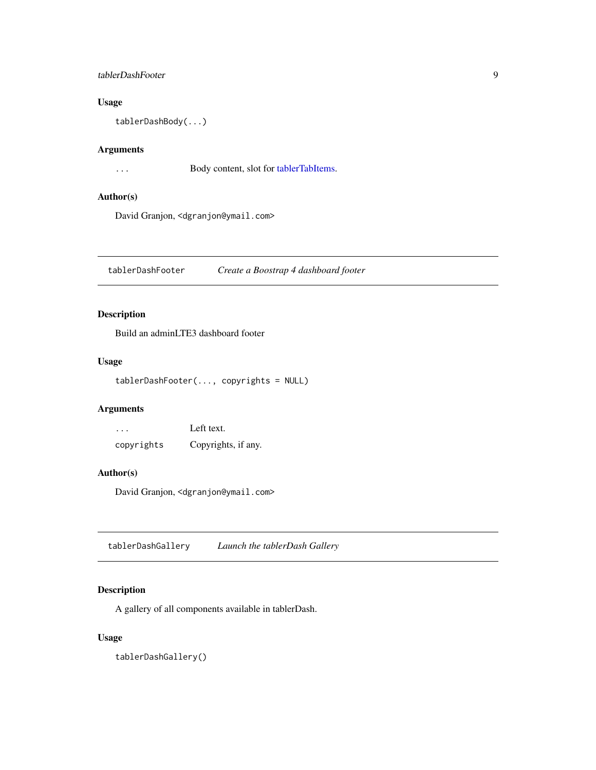#### <span id="page-8-0"></span>tablerDashFooter 9

#### Usage

tablerDashBody(...)

#### Arguments

... Body content, slot for [tablerTabItems.](#page-23-1)

#### Author(s)

David Granjon, <dgranjon@ymail.com>

<span id="page-8-1"></span>tablerDashFooter *Create a Boostrap 4 dashboard footer*

#### Description

Build an adminLTE3 dashboard footer

#### Usage

tablerDashFooter(..., copyrights = NULL)

#### Arguments

| .          | Left text.          |
|------------|---------------------|
| copyrights | Copyrights, if any. |

#### Author(s)

David Granjon, <dgranjon@ymail.com>

tablerDashGallery *Launch the tablerDash Gallery*

#### Description

A gallery of all components available in tablerDash.

#### Usage

tablerDashGallery()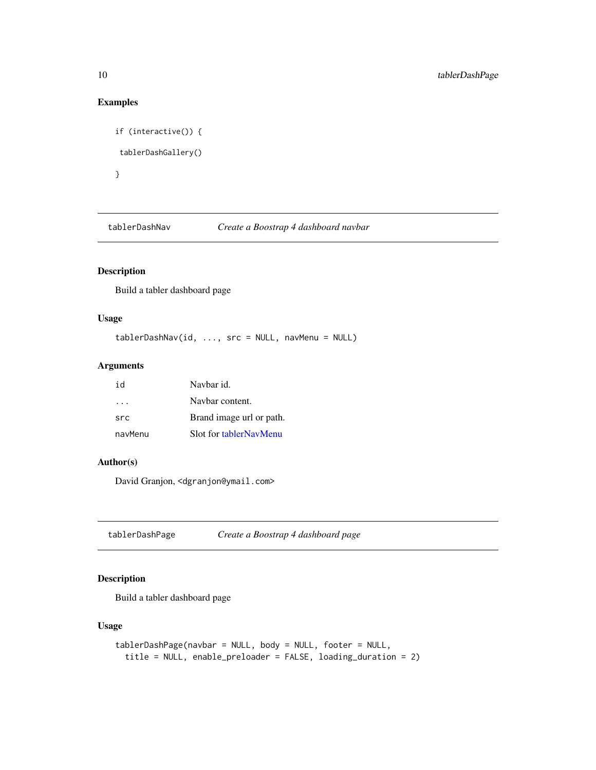#### Examples

```
if (interactive()) {
tablerDashGallery()
}
```
<span id="page-9-1"></span>tablerDashNav *Create a Boostrap 4 dashboard navbar*

#### Description

Build a tabler dashboard page

#### Usage

```
tablerDashNav(id, ..., src = NULL, navMenu = NULL)
```
#### Arguments

| id                      | Navbar id.               |
|-------------------------|--------------------------|
| $\cdot$ $\cdot$ $\cdot$ | Navbar content.          |
| src                     | Brand image url or path. |
| navMenu                 | Slot for tablerNavMenu   |

#### Author(s)

David Granjon, <dgranjon@ymail.com>

tablerDashPage *Create a Boostrap 4 dashboard page*

#### Description

Build a tabler dashboard page

#### Usage

```
tablerDashPage(navbar = NULL, body = NULL, footer = NULL,
  title = NULL, enable_preloader = FALSE, loading_duration = 2)
```
<span id="page-9-0"></span>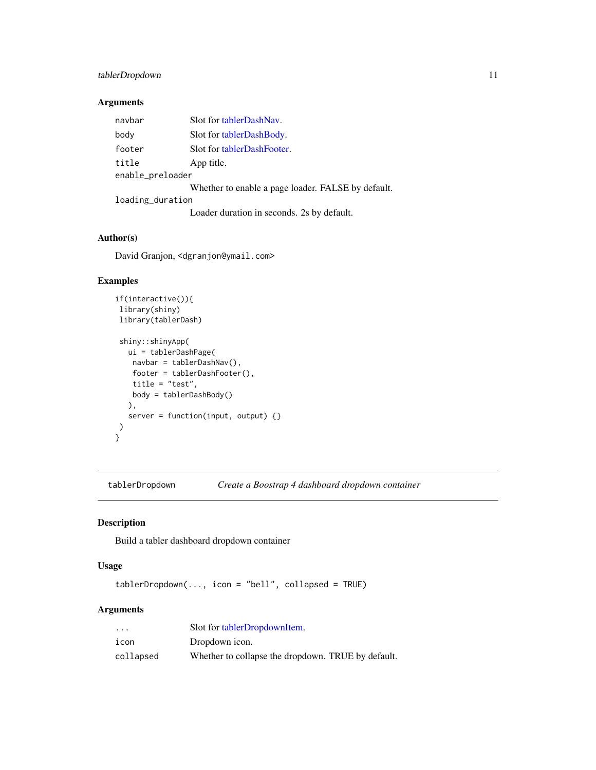#### <span id="page-10-0"></span>tablerDropdown 11

#### Arguments

| navbar           | Slot for tablerDashNav.                            |  |
|------------------|----------------------------------------------------|--|
| body             | Slot for tablerDashBody.                           |  |
| footer           | Slot for tablerDashFooter.                         |  |
| title            | App title.                                         |  |
| enable_preloader |                                                    |  |
|                  | Whether to enable a page loader. FALSE by default. |  |
| loading_duration |                                                    |  |
|                  | Loader duration in seconds. 2s by default.         |  |

#### Author(s)

David Granjon, <dgranjon@ymail.com>

#### Examples

```
if(interactive()){
library(shiny)
library(tablerDash)
shiny::shinyApp(
  ui = tablerDashPage(
   navbar = tablerDashNav(),
   footer = tablerDashFooter(),
   title = "test",
   body = tablerDashBody()
  ),
  server = function(input, output) {}
)
}
```
tablerDropdown *Create a Boostrap 4 dashboard dropdown container*

#### Description

Build a tabler dashboard dropdown container

#### Usage

```
tablerDropdown(..., icon = "bell", collapsed = TRUE)
```
#### Arguments

| $\ddot{\phantom{0}}$ | Slot for tablerDropdownItem.                       |
|----------------------|----------------------------------------------------|
| icon                 | Dropdown icon.                                     |
| collapsed            | Whether to collapse the dropdown. TRUE by default. |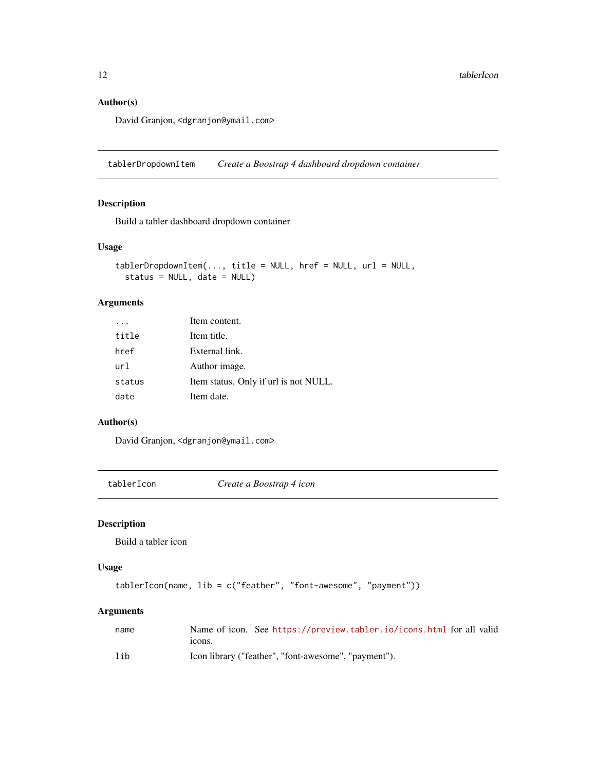#### Author(s)

David Granjon, <dgranjon@ymail.com>

<span id="page-11-1"></span>tablerDropdownItem *Create a Boostrap 4 dashboard dropdown container*

#### Description

Build a tabler dashboard dropdown container

#### Usage

```
tablerDropdownItem(..., title = NULL, href = NULL, url = NULL,
  status = NULL, date = NULL)
```
#### Arguments

|        | Item content.                         |
|--------|---------------------------------------|
| title  | Item title.                           |
| href   | External link.                        |
| ur1    | Author image.                         |
| status | Item status. Only if url is not NULL. |
| date   | Item date.                            |

#### Author(s)

David Granjon, <dgranjon@ymail.com>

tablerIcon *Create a Boostrap 4 icon*

#### Description

Build a tabler icon

#### Usage

```
tablerIcon(name, lib = c("feather", "font-awesome", "payment"))
```
#### Arguments

| name | Name of icon. See https://preview.tabler.io/icons.html for all valid |
|------|----------------------------------------------------------------------|
|      | tcons.                                                               |
| lib  | Icon library ("feather", "font-awesome", "payment").                 |

<span id="page-11-0"></span>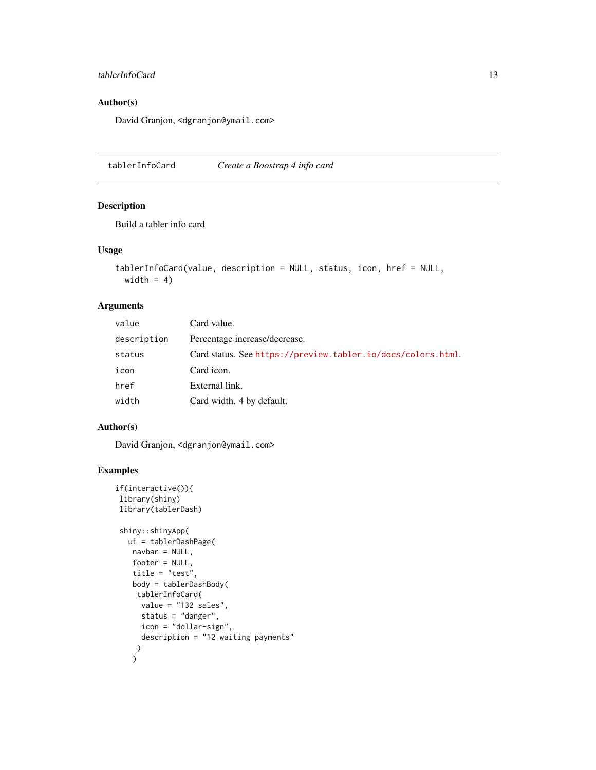#### <span id="page-12-0"></span>tablerInfoCard 13

#### Author(s)

David Granjon, <dgranjon@ymail.com>

tablerInfoCard *Create a Boostrap 4 info card*

#### Description

Build a tabler info card

#### Usage

```
tablerInfoCard(value, description = NULL, status, icon, href = NULL,
 width = 4)
```
#### Arguments

| value       | Card value.                                                  |
|-------------|--------------------------------------------------------------|
| description | Percentage increase/decrease.                                |
| status      | Card status. See https://preview.tabler.io/docs/colors.html. |
| icon        | Card icon.                                                   |
| href        | External link.                                               |
| width       | Card width. 4 by default.                                    |

#### Author(s)

David Granjon, <dgranjon@ymail.com>

```
if(interactive()){
library(shiny)
library(tablerDash)
shiny::shinyApp(
  ui = tablerDashPage(
   navbar = NULL,footer = NULL,
   title = "test",
   body = tablerDashBody(
    tablerInfoCard(
     value = "132 sales",
     status = "danger",
     icon = "dollar-sign",
     description = "12 waiting payments"
    )
   )
```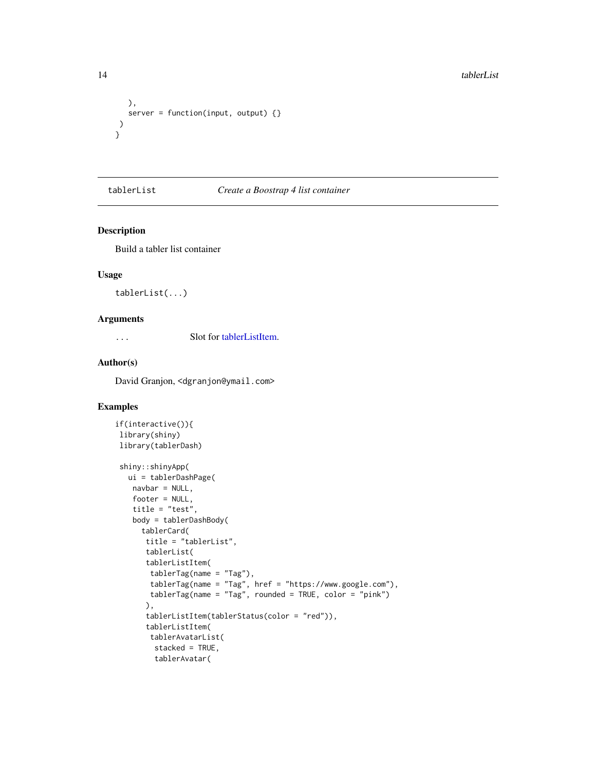```
),
  server = function(input, output) {}
)
}
```
#### tablerList *Create a Boostrap 4 list container*

#### Description

Build a tabler list container

#### Usage

```
tablerList(...)
```
#### Arguments

... Slot for [tablerListItem.](#page-14-1)

#### Author(s)

David Granjon, <dgranjon@ymail.com>

```
if(interactive()){
library(shiny)
library(tablerDash)
shiny::shinyApp(
  ui = tablerDashPage(
   navbar = NULL,footer = NULL,
   title = "test",
   body = tablerDashBody(
     tablerCard(
      title = "tablerList",
      tablerList(
      tablerListItem(
       tablerTag(name = "Tag"),
       tablerTag(name = "Tag", href = "https://www.google.com"),
       tablerTag(name = "Tag", rounded = TRUE, color = "pink")
      ),
      tablerListItem(tablerStatus(color = "red")),
      tablerListItem(
       tablerAvatarList(
        stacked = TRUE,
        tablerAvatar(
```
<span id="page-13-0"></span>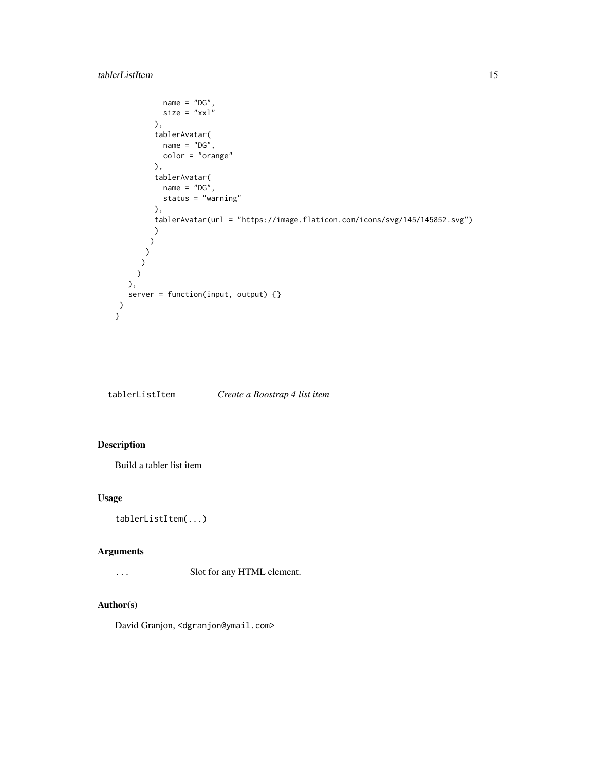#### <span id="page-14-0"></span>tablerListItem 15

```
name = "DG",size = "xx1"),
        tablerAvatar(
          name = "DG",
          color = "orange"
        ),
        tablerAvatar(
          name = "DG",status = "warning"
        ),
        tablerAvatar(url = "https://image.flaticon.com/icons/svg/145/145852.svg")
        )
       )
      )
     )
    )
  ),
  server = function(input, output) {}
)
}
```
<span id="page-14-1"></span>tablerListItem *Create a Boostrap 4 list item*

#### Description

Build a tabler list item

#### Usage

```
tablerListItem(...)
```
#### Arguments

... Slot for any HTML element.

#### Author(s)

David Granjon, <dgranjon@ymail.com>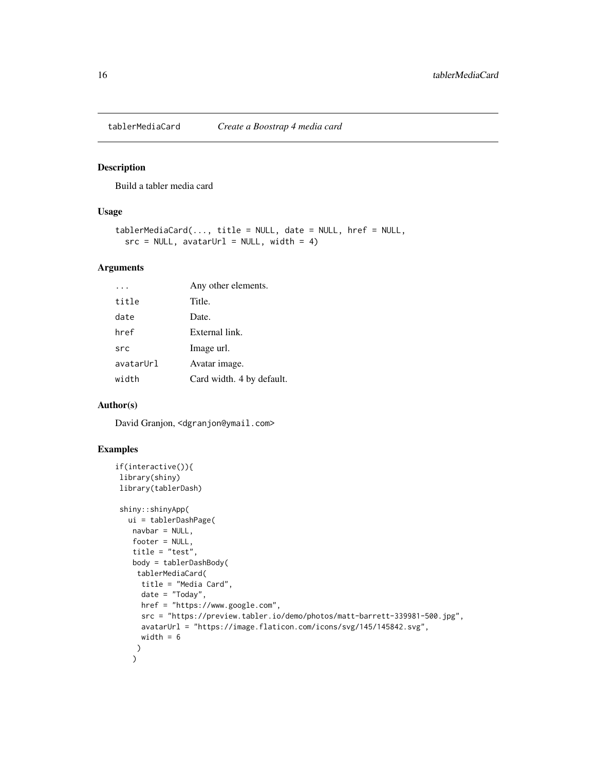<span id="page-15-0"></span>

#### Description

Build a tabler media card

#### Usage

```
tablerMediaCard(..., title = NULL, date = NULL, href = NULL,
  src = NULL, avatarUrl = NULL, width = 4)
```
#### Arguments

|           | Any other elements.       |
|-----------|---------------------------|
| title     | Title.                    |
| date      | Date.                     |
| href      | External link.            |
| src       | Image url.                |
| avatarUrl | Avatar image.             |
| width     | Card width. 4 by default. |

#### Author(s)

David Granjon, <dgranjon@ymail.com>

```
if(interactive()){
library(shiny)
library(tablerDash)
```

```
shiny::shinyApp(
 ui = tablerDashPage(
  navbar = NULL,
  footer = NULL,
  title = "test",
  body = tablerDashBody(
   tablerMediaCard(
     title = "Media Card",
     date = "Today",
    href = "https://www.google.com",
     src = "https://preview.tabler.io/demo/photos/matt-barrett-339981-500.jpg",
     avatarUrl = "https://image.flaticon.com/icons/svg/145/145842.svg",
    width = 6)
   )
```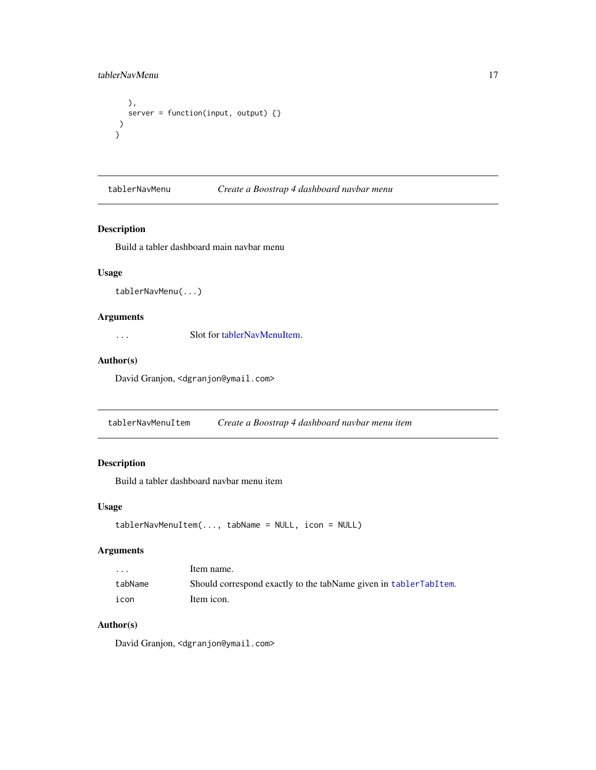#### <span id="page-16-0"></span>tablerNavMenu 17

```
),
  server = function(input, output) {}
)
}
```
#### <span id="page-16-1"></span>tablerNavMenu *Create a Boostrap 4 dashboard navbar menu*

#### Description

Build a tabler dashboard main navbar menu

#### Usage

tablerNavMenu(...)

#### Arguments

... Slot for [tablerNavMenuItem.](#page-16-2)

#### Author(s)

David Granjon, <dgranjon@ymail.com>

<span id="page-16-2"></span>tablerNavMenuItem *Create a Boostrap 4 dashboard navbar menu item*

#### Description

Build a tabler dashboard navbar menu item

#### Usage

```
tablerNavMenuItem(..., tabName = NULL, icon = NULL)
```
#### Arguments

| $\cdot$ | Item name.                                                       |
|---------|------------------------------------------------------------------|
| tabName | Should correspond exactly to the tabName given in tablerTabItem. |
| icon    | Item icon.                                                       |

#### Author(s)

David Granjon, <dgranjon@ymail.com>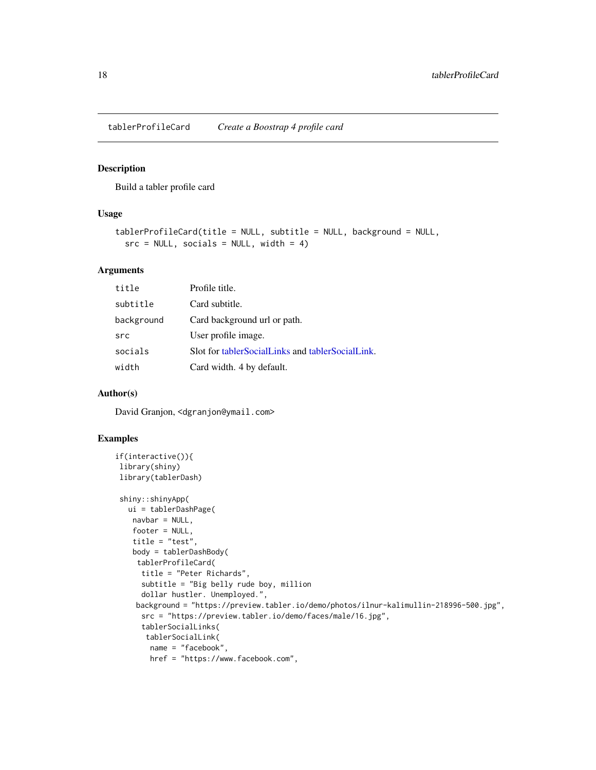<span id="page-17-0"></span>tablerProfileCard *Create a Boostrap 4 profile card*

#### Description

Build a tabler profile card

#### Usage

```
tablerProfileCard(title = NULL, subtitle = NULL, background = NULL,
  src = NULL, socials = NULL, width = 4)
```
#### Arguments

| title      | Profile title.                                   |
|------------|--------------------------------------------------|
| subtitle   | Card subtitle.                                   |
| background | Card background url or path.                     |
| src        | User profile image.                              |
| socials    | Slot for tablerSocialLinks and tablerSocialLink. |
| width      | Card width. 4 by default.                        |

#### Author(s)

David Granjon, <dgranjon@ymail.com>

```
if(interactive()){
library(shiny)
library(tablerDash)
shiny::shinyApp(
  ui = tablerDashPage(
   navbar = NULL,
   footer = NULL,
   title = "test",
   body = tablerDashBody(
    tablerProfileCard(
     title = "Peter Richards",
     subtitle = "Big belly rude boy, million
     dollar hustler. Unemployed.",
    background = "https://preview.tabler.io/demo/photos/ilnur-kalimullin-218996-500.jpg",
     src = "https://preview.tabler.io/demo/faces/male/16.jpg",
     tablerSocialLinks(
      tablerSocialLink(
       name = "facebook",
       href = "https://www.facebook.com",
```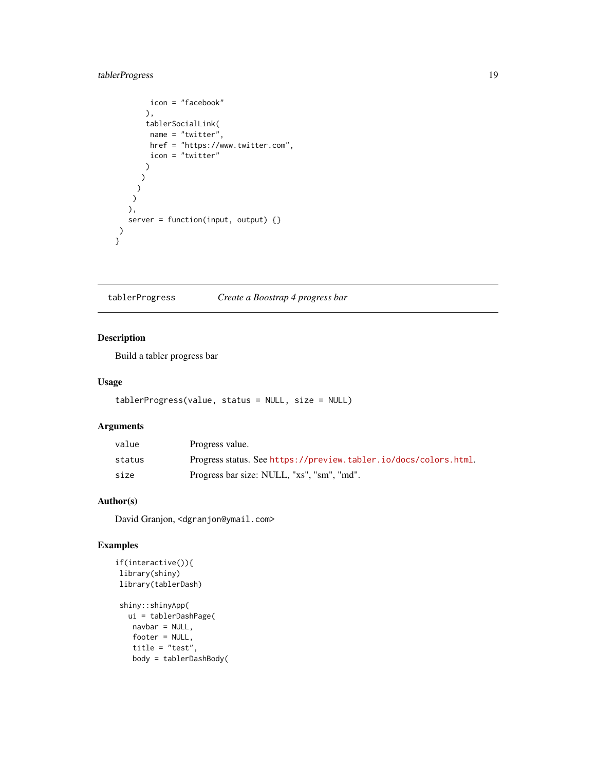#### <span id="page-18-0"></span>tablerProgress 19

```
icon = "facebook"
       ),
       tablerSocialLink(
        name = "twitter",
        href = "https://www.twitter.com",
        icon = "twitter"
       )
      )
     )
    \overline{)}),
   server = function(input, output) {}
)
}<sup>1</sup>
```
tablerProgress *Create a Boostrap 4 progress bar*

#### Description

Build a tabler progress bar

#### Usage

```
tablerProgress(value, status = NULL, size = NULL)
```
#### Arguments

| value  | Progress value.                                                  |
|--------|------------------------------------------------------------------|
| status | Progress status. See https://preview.tabler.io/docs/colors.html. |
| size   | Progress bar size: NULL, "xs", "sm", "md".                       |

#### Author(s)

David Granjon, <dgranjon@ymail.com>

```
if(interactive()){
library(shiny)
library(tablerDash)
shiny::shinyApp(
  ui = tablerDashPage(
   navbar = NULL,footer = NULL,
   title = "test",
   body = tablerDashBody(
```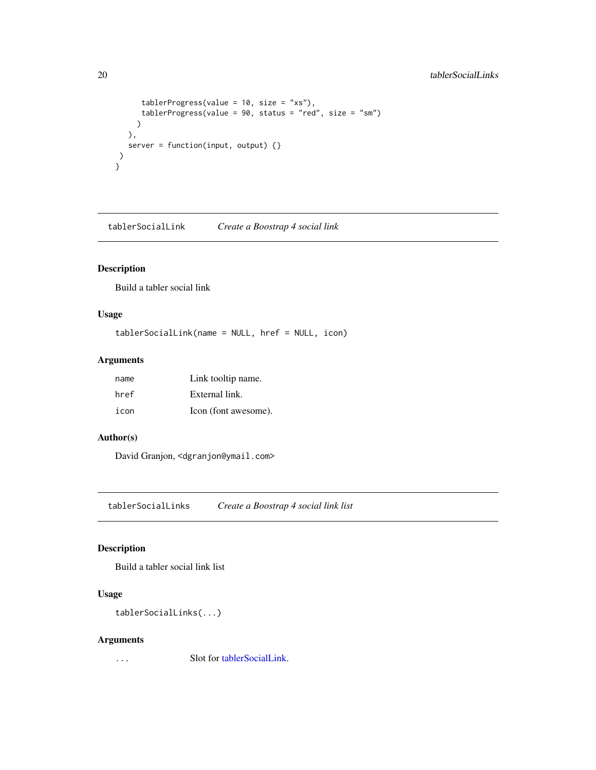#### <span id="page-19-0"></span>20 tablerSocialLinks

```
tablerProgress(value = 10, size = "xs"),
     tablerProgress(value = 90, status = "red", size = "sm")
    )
  ),
  server = function(input, output) {}
)
}
```
<span id="page-19-2"></span>tablerSocialLink *Create a Boostrap 4 social link*

#### Description

Build a tabler social link

#### Usage

```
tablerSocialLink(name = NULL, href = NULL, icon)
```
#### Arguments

| name | Link tooltip name.   |
|------|----------------------|
| href | External link.       |
| icon | Icon (font awesome). |

#### Author(s)

David Granjon, <dgranjon@ymail.com>

<span id="page-19-1"></span>tablerSocialLinks *Create a Boostrap 4 social link list*

#### Description

Build a tabler social link list

#### Usage

```
tablerSocialLinks(...)
```
#### Arguments

... Slot for [tablerSocialLink.](#page-19-2)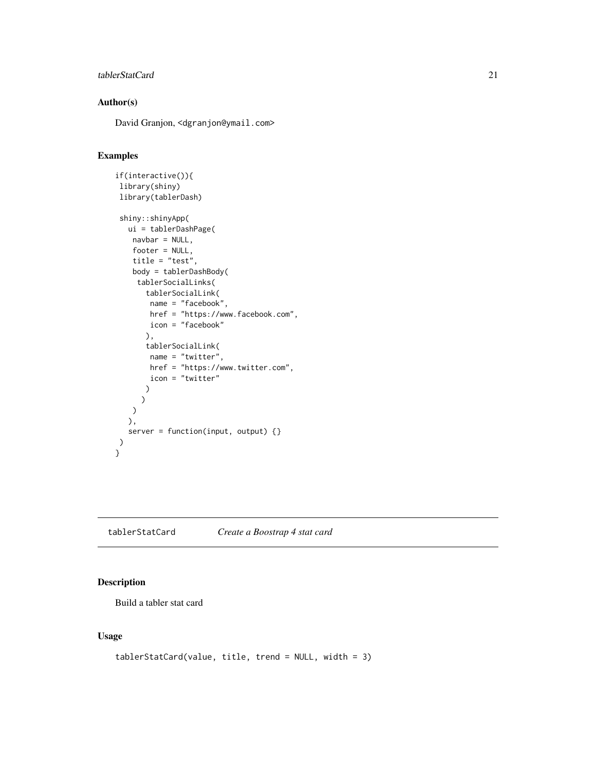#### <span id="page-20-0"></span>tablerStatCard 21

#### Author(s)

David Granjon, <dgranjon@ymail.com>

#### Examples

```
if(interactive()){
library(shiny)
library(tablerDash)
shiny::shinyApp(
  ui = tablerDashPage(
   navbar = NULL,
   footer = NULL,
   title = "test",
   body = tablerDashBody(
    tablerSocialLinks(
       tablerSocialLink(
       name = "facebook",
       href = "https://www.facebook.com",
       icon = "facebook"
       ),
       tablerSocialLink(
       name = "twitter",
       href = "https://www.twitter.com",
       icon = "twitter"
       )
     )
   )
  ),
  server = function(input, output) \{\})
}
```
tablerStatCard *Create a Boostrap 4 stat card*

#### Description

Build a tabler stat card

#### Usage

```
tablerStatCard(value, title, trend = NULL, width = 3)
```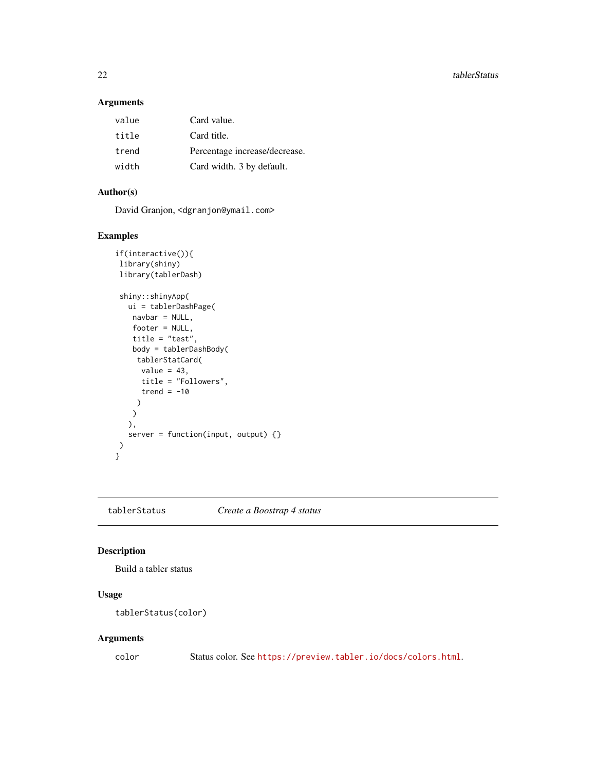22 tablerStatus and the contract of the contract of the contract of the contract of the contract of the contract of the contract of the contract of the contract of the contract of the contract of the contract of the contra

#### Arguments

| value | Card value.                   |
|-------|-------------------------------|
| title | Card title.                   |
| trend | Percentage increase/decrease. |
| width | Card width. 3 by default.     |

#### Author(s)

David Granjon, <dgranjon@ymail.com>

#### Examples

```
if(interactive()){
library(shiny)
library(tablerDash)
shiny::shinyApp(
  ui = tablerDashPage(
   navbar = NULL,footer = NULL,
   title = "test",
   body = tablerDashBody(
    tablerStatCard(
     value = 43,title = "Followers",
     trend = -10)
   )
  ),
  server = function(input, output) {}
\mathcal{L}}
```
#### tablerStatus *Create a Boostrap 4 status*

#### Description

Build a tabler status

#### Usage

```
tablerStatus(color)
```
#### Arguments

color Status color. See <https://preview.tabler.io/docs/colors.html>.

<span id="page-21-0"></span>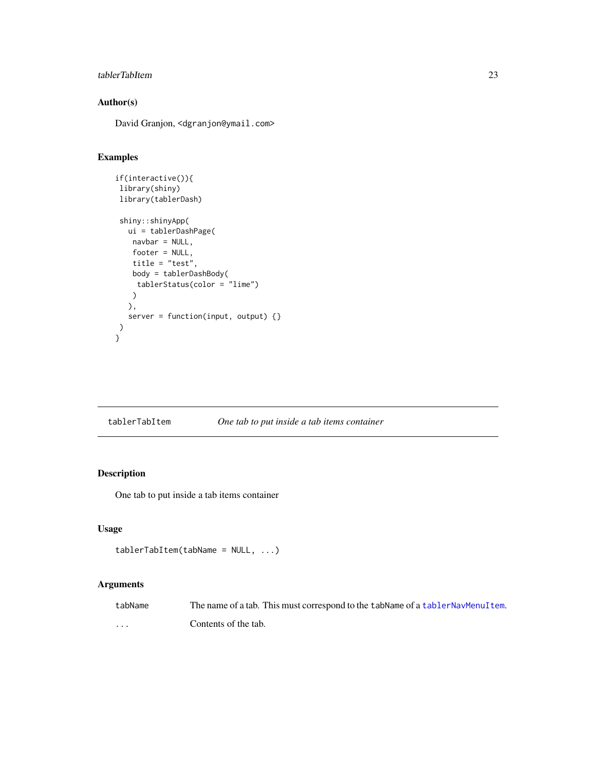#### <span id="page-22-0"></span>tablerTabItem 23

#### Author(s)

David Granjon, <dgranjon@ymail.com>

#### Examples

```
if(interactive()){
library(shiny)
library(tablerDash)
shiny::shinyApp(
  ui = tablerDashPage(
   navbar = NULL,
   footer = NULL,
   title = "test",
   body = tablerDashBody(
    tablerStatus(color = "lime")
   \lambda),
  server = function(input, output) {}
\lambda}
```
<span id="page-22-1"></span>

| tablerTabItem |  | One tab to put inside a tab items container |  |  |
|---------------|--|---------------------------------------------|--|--|
|---------------|--|---------------------------------------------|--|--|

#### Description

One tab to put inside a tab items container

#### Usage

```
tablerTabItem(tabName = NULL, ...)
```
#### Arguments

| tabName | The name of a tab. This must correspond to the tabName of a tablerNayMenuItem. |
|---------|--------------------------------------------------------------------------------|
| .       | Contents of the tab.                                                           |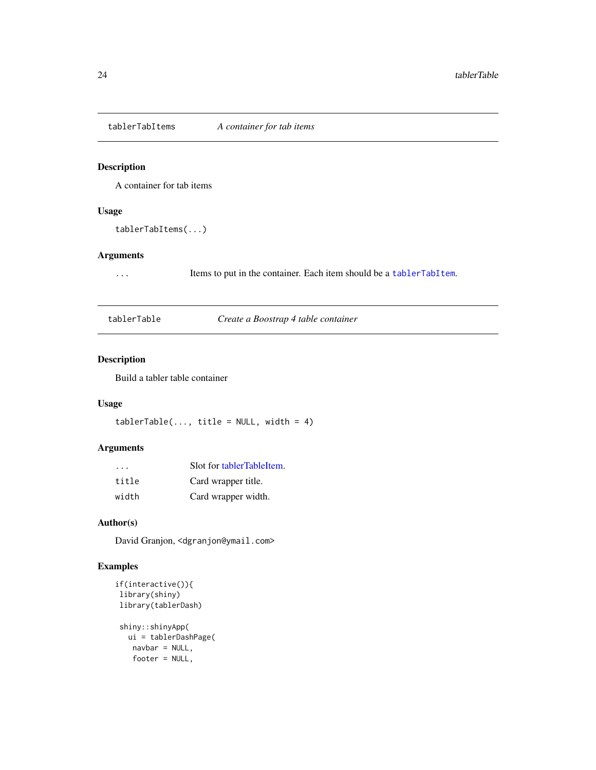<span id="page-23-1"></span><span id="page-23-0"></span>

#### Description

A container for tab items

#### Usage

tablerTabItems(...)

#### Arguments

... Items to put in the container. Each item should be a [tablerTabItem](#page-22-1).

tablerTable *Create a Boostrap 4 table container*

#### Description

Build a tabler table container

#### Usage

 $tableTable(..., title = NULL, width = 4)$ 

#### Arguments

| $\cdot$ $\cdot$ $\cdot$ | Slot for tablerTableItem. |
|-------------------------|---------------------------|
| title                   | Card wrapper title.       |
| width                   | Card wrapper width.       |

#### Author(s)

David Granjon, <dgranjon@ymail.com>

```
if(interactive()){
library(shiny)
library(tablerDash)
shiny::shinyApp(
  ui = tablerDashPage(
   navbar = NULL,
   footer = NULL,
```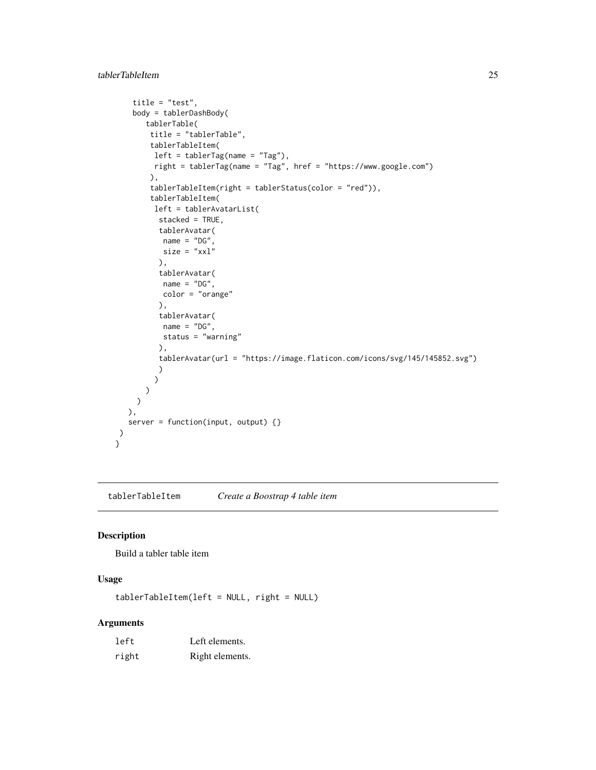```
title = "test",
   body = tablerDashBody(
      tablerTable(
       title = "tablerTable",
       tablerTableItem(
        left = tablerTag(name = "Tag"),
        right = tablerTag(name = "Tag", href = "https://www.google.com")
       ),
       tablerTableItem(right = tablerStatus(color = "red")),
       tablerTableItem(
        left = tablerAvatarList(
         stacked = TRUE,
         tablerAvatar(
          name = "DG",size = "xx1"),
         tablerAvatar(
          name = "DG",color = "orange"
         ),
          tablerAvatar(
          name = "DG",status = "warning"
         ),
         tablerAvatar(url = "https://image.flaticon.com/icons/svg/145/145852.svg")
         )
        )
      )
    )
  ),
  server = function(input, output) {}
)
}
```
<span id="page-24-1"></span>tablerTableItem *Create a Boostrap 4 table item*

#### Description

Build a tabler table item

#### Usage

tablerTableItem(left = NULL, right = NULL)

#### Arguments

| left  | Left elements.  |
|-------|-----------------|
| right | Right elements. |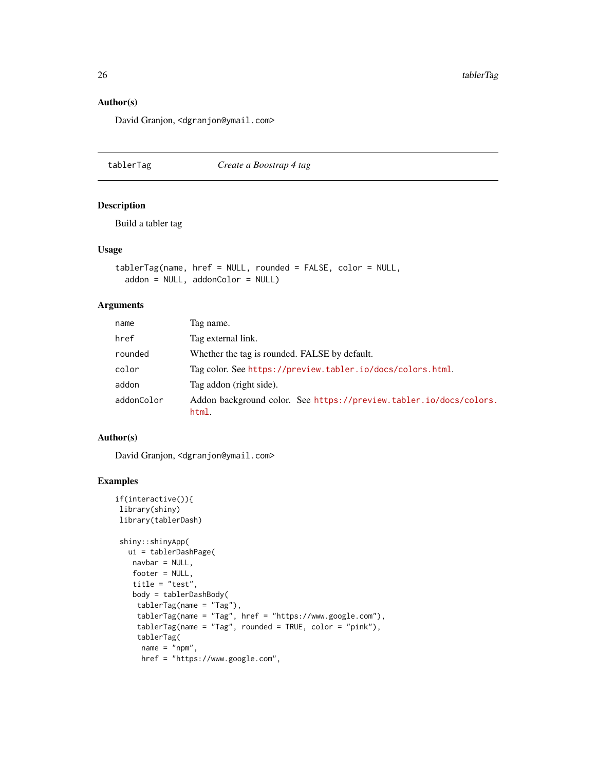#### Author(s)

David Granjon, <dgranjon@ymail.com>

<span id="page-25-1"></span>tablerTag *Create a Boostrap 4 tag*

#### Description

Build a tabler tag

#### Usage

```
tablerTag(name, href = NULL, rounded = FALSE, color = NULL,
 addon = NULL, addonColor = NULL)
```
#### Arguments

| name       | Tag name.                                                                   |  |
|------------|-----------------------------------------------------------------------------|--|
| href       | Tag external link.                                                          |  |
| rounded    | Whether the tag is rounded. FALSE by default.                               |  |
| color      | Tag color. See https://preview.tabler.io/docs/colors.html.                  |  |
| addon      | Tag addon (right side).                                                     |  |
| addonColor | Addon background color. See https://preview.tabler.io/docs/colors.<br>html. |  |

#### Author(s)

David Granjon, <dgranjon@ymail.com>

```
if(interactive()){
library(shiny)
library(tablerDash)
shiny::shinyApp(
  ui = tablerDashPage(
   navbar = NULL,
   footer = NULL,
   title = "test",
   body = tablerDashBody(
    tablerTag(name = "Tag"),
    tablerTag(name = "Tag", href = "https://www.google.com"),
    tablerTag(name = "Tag", rounded = TRUE, color = "pink"),
    tablerTag(
     name = "npm",href = "https://www.google.com",
```
<span id="page-25-0"></span>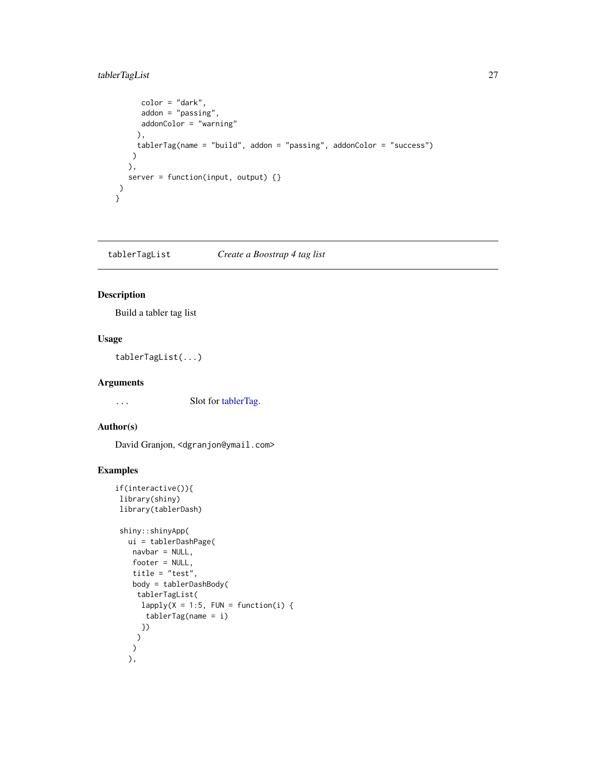#### <span id="page-26-0"></span>tablerTagList 27

```
color = "dark",
     addon = "passing",
     addonColor = "warning"
    ),
    tablerTag(name = "build", addon = "passing", addonColor = "success")
   )
  ),
  server = function(input, output) {}
)
}
```
tablerTagList *Create a Boostrap 4 tag list*

#### Description

Build a tabler tag list

#### Usage

tablerTagList(...)

#### Arguments

... Slot for [tablerTag.](#page-25-1)

#### Author(s)

David Granjon, <dgranjon@ymail.com>

```
if(interactive()){
library(shiny)
library(tablerDash)
shiny::shinyApp(
  ui = tablerDashPage(
   navbar = NULL,
   footer = NULL,
   title = "test",
   body = tablerDashBody(
    tablerTagList(
     lapply(X = 1:5, FUN = function(i) {
      tablerTag(name = i)
     })
    )
   )
  ),
```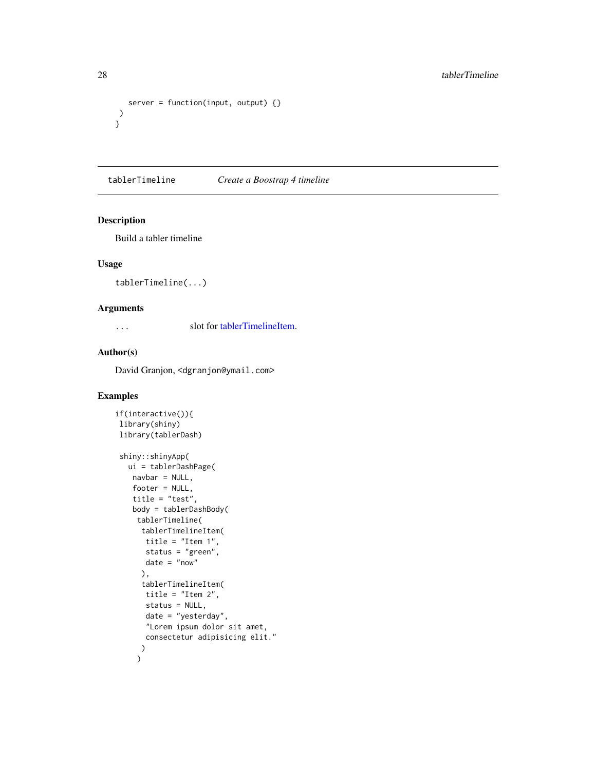```
server = function(input, output) \{\})
}
```
tablerTimeline *Create a Boostrap 4 timeline*

#### Description

Build a tabler timeline

#### Usage

tablerTimeline(...)

#### Arguments

... slot for [tablerTimelineItem.](#page-28-1)

#### Author(s)

David Granjon, <dgranjon@ymail.com>

```
if(interactive()){
library(shiny)
library(tablerDash)
shiny::shinyApp(
  ui = tablerDashPage(
   navbar = NULL,
   footer = NULL,
   title = "test",
   body = tablerDashBody(
    tablerTimeline(
     tablerTimelineItem(
      title = "Item 1",
       status = "green",
       date = "now"
      ),
      tablerTimelineItem(
       title = "Item 2",
       status = NULL,
       date = "yesterday",
       "Lorem ipsum dolor sit amet,
       consectetur adipisicing elit."
      \mathcal{L}\mathcal{L}
```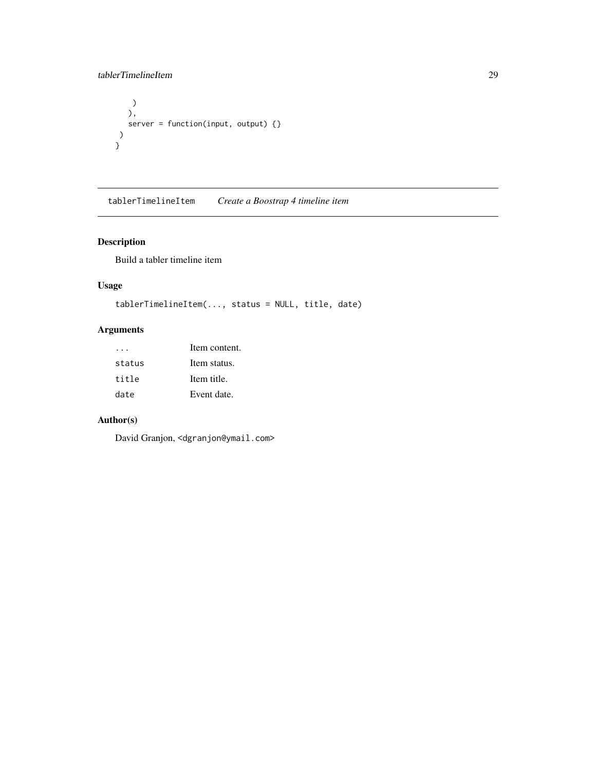#### <span id="page-28-0"></span>tablerTimelineItem 29

```
)
   ),
  server = function(input, output) {}
)
}
```
<span id="page-28-1"></span>tablerTimelineItem *Create a Boostrap 4 timeline item*

#### Description

Build a tabler timeline item

#### Usage

```
tablerTimelineItem(..., status = NULL, title, date)
```
#### Arguments

|        | Item content. |
|--------|---------------|
| status | Item status.  |
| title  | Item title.   |
| date   | Event date.   |

#### Author(s)

David Granjon, <dgranjon@ymail.com>